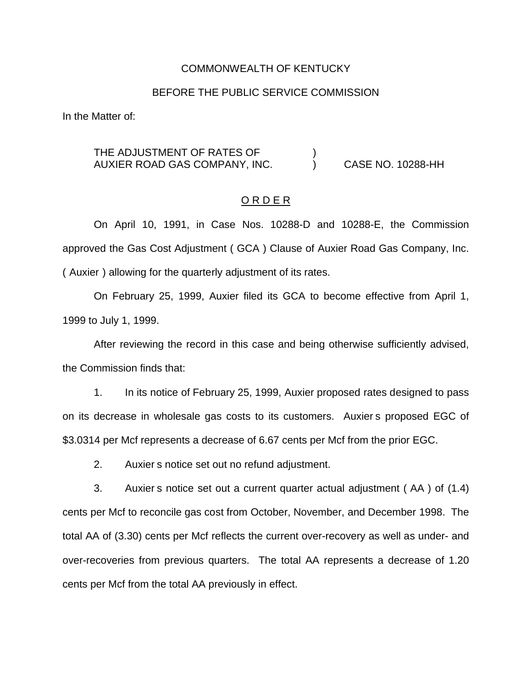#### COMMONWEALTH OF KENTUCKY

#### BEFORE THE PUBLIC SERVICE COMMISSION

In the Matter of:

## THE ADJUSTMENT OF RATES OF  $\qquad\qquad\qquad)$ AUXIER ROAD GAS COMPANY, INC.  $\overline{)}$  CASE NO. 10288-HH

### O R D E R

On April 10, 1991, in Case Nos. 10288-D and 10288-E, the Commission approved the Gas Cost Adjustment ( GCA ) Clause of Auxier Road Gas Company, Inc. ( Auxier ) allowing for the quarterly adjustment of its rates.

On February 25, 1999, Auxier filed its GCA to become effective from April 1, 1999 to July 1, 1999.

After reviewing the record in this case and being otherwise sufficiently advised, the Commission finds that:

1. In its notice of February 25, 1999, Auxier proposed rates designed to pass on its decrease in wholesale gas costs to its customers. Auxier s proposed EGC of \$3.0314 per Mcf represents a decrease of 6.67 cents per Mcf from the prior EGC.

2. Auxier s notice set out no refund adjustment.

3. Auxier s notice set out a current quarter actual adjustment ( AA ) of (1.4) cents per Mcf to reconcile gas cost from October, November, and December 1998. The total AA of (3.30) cents per Mcf reflects the current over-recovery as well as under- and over-recoveries from previous quarters. The total AA represents a decrease of 1.20 cents per Mcf from the total AA previously in effect.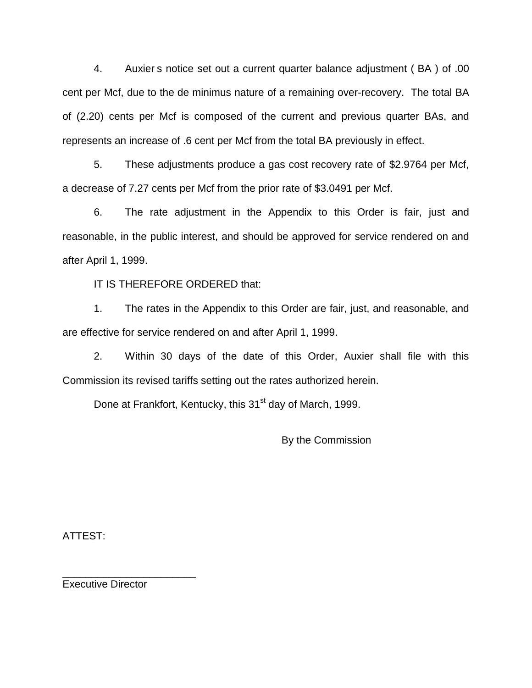4. Auxier s notice set out a current quarter balance adjustment ( BA ) of .00 cent per Mcf, due to the de minimus nature of a remaining over-recovery. The total BA of (2.20) cents per Mcf is composed of the current and previous quarter BAs, and represents an increase of .6 cent per Mcf from the total BA previously in effect.

5. These adjustments produce a gas cost recovery rate of \$2.9764 per Mcf, a decrease of 7.27 cents per Mcf from the prior rate of \$3.0491 per Mcf.

6. The rate adjustment in the Appendix to this Order is fair, just and reasonable, in the public interest, and should be approved for service rendered on and after April 1, 1999.

IT IS THEREFORE ORDERED that:

1. The rates in the Appendix to this Order are fair, just, and reasonable, and are effective for service rendered on and after April 1, 1999.

2. Within 30 days of the date of this Order, Auxier shall file with this Commission its revised tariffs setting out the rates authorized herein.

Done at Frankfort, Kentucky, this 31<sup>st</sup> day of March, 1999.

By the Commission

ATTEST:

Executive Director

\_\_\_\_\_\_\_\_\_\_\_\_\_\_\_\_\_\_\_\_\_\_\_